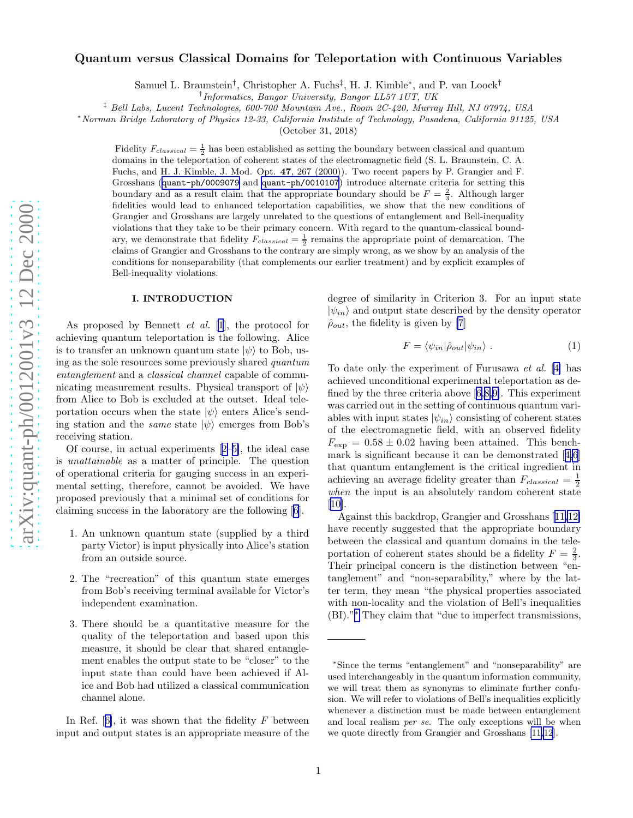# <span id="page-0-0"></span>Quantum versus Classical Domains for Teleportation with Continuous Variables

Samuel L. Braunstein<sup>†</sup>, Christopher A. Fuchs<sup>‡</sup>, H. J. Kimble<sup>\*</sup>, and P. van Loock<sup>†</sup>

† Informatics, Bangor University, Bangor LL57 1UT, UK

‡ Bell Labs, Lucent Technologies, 600-700 Mountain Ave., Room 2C-420, Murray Hill, NJ 07974, USA

<sup>∗</sup>Norman Bridge Laboratory of Physics 12-33, California Institute of Technology, Pasadena, California 91125, USA

(October 31, 2018)

Fidelity  $F_{classical} = \frac{1}{2}$  has been established as setting the boundary between classical and quantum domains in the teleportation of coherent states of the electromagnetic field (S. L. Braunstein, C. A. Fuchs, and H. J. Kimble, J. Mod. Opt. 47, 267 (2000)). Two recent papers by P. Grangier and F. Grosshans ([quant-ph/0009079](http://arxiv.org/abs/quant-ph/0009079) and [quant-ph/0010107](http://arxiv.org/abs/quant-ph/0010107)) introduce alternate criteria for setting this boundary and as a result claim that the appropriate boundary should be  $F = \frac{2}{3}$ . Although larger fidelities would lead to enhanced teleportation capabilities, we show that the new conditions of Grangier and Grosshans are largely unrelated to the questions of entanglement and Bell-inequality violations that they take to be their primary concern. With regard to the quantum-classical boundary, we demonstrate that fidelity  $F_{classical} = \frac{1}{2}$  remains the appropriate point of demarcation. The claims of Grangier and Grosshans to the contrary are simply wrong, as we show by an analysis of the conditions for nonseparability (that complements our earlier treatment) and by explicit examples of Bell-inequality violations.

### I. INTRODUCTION

As proposed by Bennett  $et \ al. \ [1]$  $et \ al. \ [1]$  $et \ al. \ [1]$ , the protocol for achieving quantum teleportation is the following. Alice is to transfer an unknown quantum state  $|\psi\rangle$  to Bob, using as the sole resources some previously shared quantum entanglement and a *classical channel* capable of communicating measurement results. Physical transport of  $|\psi\rangle$ from Alice to Bob is excluded at the outset. Ideal teleportation occurs when the state  $|\psi\rangle$  enters Alice's sending station and the *same* state  $|\psi\rangle$  emerges from Bob's receiving station.

Of course, in actual experiments[[2–5\]](#page-13-0), the ideal case is unattainable as a matter of principle. The question of operational criteria for gauging success in an experimental setting, therefore, cannot be avoided. We have proposed previously that a minimal set of conditions for claiming success in the laboratory are the following[[6\]](#page-13-0).

- 1. An unknown quantum state (supplied by a third party Victor) is input physically into Alice's station from an outside source.
- 2. The "recreation" of this quantum state emerges from Bob's receiving terminal available for Victor's independent examination.
- 3. There should be a quantitative measure for the quality of the teleportation and based upon this measure, it should be clear that shared entanglement enables the output state to be "closer" to the input state than could have been achieved if Alice and Bob had utilized a classical communication channel alone.

InRef.  $[6]$  $[6]$ , it was shown that the fidelity F between input and output states is an appropriate measure of the degree of similarity in Criterion 3. For an input state  $|\psi_{in}\rangle$  and output state described by the density operator  $\hat{\rho}_{out}$ , the fidelity is given by [\[7](#page-13-0)]

$$
F = \langle \psi_{in} | \hat{\rho}_{out} | \psi_{in} \rangle . \tag{1}
$$

To date only the experiment of Furusawa et al. [[4\]](#page-13-0) has achieved unconditional experimental teleportation as defined by the three criteria above[[6,8,9\]](#page-13-0). This experiment was carried out in the setting of continuous quantum variables with input states  $|\psi_{in}\rangle$  consisting of coherent states of the electromagnetic field, with an observed fidelity  $F_{\text{exp}} = 0.58 \pm 0.02$  having been attained. This benchmark is significant because it can be demonstrated[[4,6](#page-13-0)] that quantum entanglement is the critical ingredient in achieving an average fidelity greater than  $F_{classical} = \frac{1}{2}$ when the input is an absolutely random coherent state [[10\]](#page-13-0).

Against this backdrop, Grangier and Grosshans[[11,12\]](#page-13-0) have recently suggested that the appropriate boundary between the classical and quantum domains in the teleportation of coherent states should be a fidelity  $F = \frac{2}{3}$ . Their principal concern is the distinction between "entanglement" and "non-separability," where by the latter term, they mean "the physical properties associated with non-locality and the violation of Bell's inequalities (BI)." <sup>∗</sup> They claim that "due to imperfect transmissions,

<sup>∗</sup>Since the terms "entanglement" and "nonseparability" are used interchangeably in the quantum information community , we will treat them as synonyms to eliminate further confusion. We will refer to violations of Bell's inequalities explicitly whenever a distinction must be made between entanglement and local realism per se. The only exceptions will be when we quote directly from Grangier and Grosshans [\[11,12](#page-13-0)].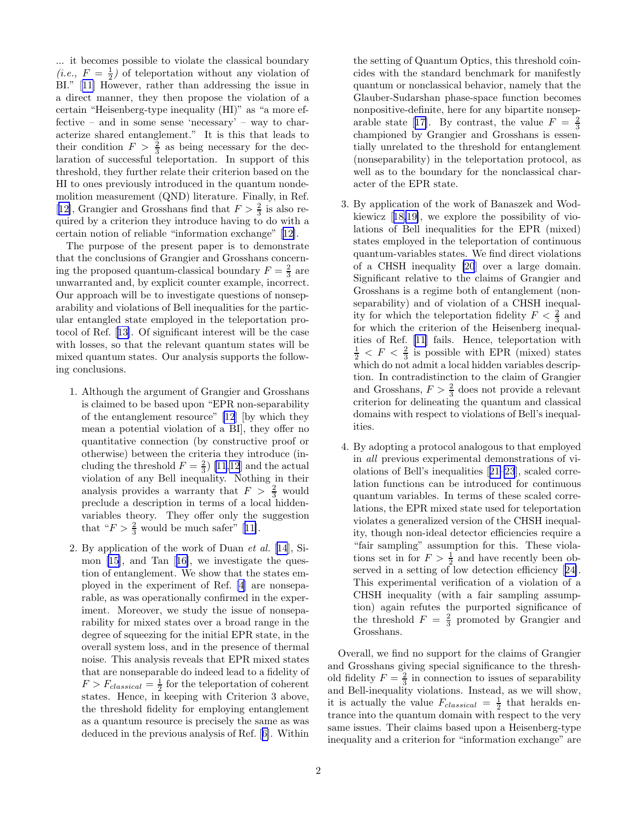... it becomes possible to violate the classical boundary (*i.e.*,  $F = \frac{1}{2}$ ) of teleportation without any violation of BI."[[11\]](#page-13-0) However, rather than addressing the issue in a direct manner, they then propose the violation of a certain "Heisenberg-type inequality (HI)" as "a more effective – and in some sense 'necessary' – way to characterize shared entanglement." It is this that leads to their condition  $F > \frac{2}{3}$  as being necessary for the declaration of successful teleportation. In support of this threshold, they further relate their criterion based on the HI to ones previously introduced in the quantum nondemolition measurement (QND) literature. Finally, in Ref. [[12\]](#page-13-0), Grangier and Grosshans find that  $F > \frac{2}{3}$  is also required by a criterion they introduce having to do with a certain notion of reliable "information exchange"[[12\]](#page-13-0).

The purpose of the present paper is to demonstrate that the conclusions of Grangier and Grosshans concerning the proposed quantum-classical boundary  $F = \frac{2}{3}$  are unwarranted and, by explicit counter example, incorrect. Our approach will be to investigate questions of nonseparability and violations of Bell inequalities for the particular entangled state employed in the teleportation protocol of Ref.[[13\]](#page-13-0). Of significant interest will be the case with losses, so that the relevant quantum states will be mixed quantum states. Our analysis supports the following conclusions.

- 1. Although the argument of Grangier and Grosshans is claimed to be based upon "EPR non-separability of the entanglement resource" [\[12](#page-13-0)] [by which they mean a potential violation of a BI], they offer no quantitative connection (by constructive proof or otherwise) between the criteria they introduce (including the threshold  $F = \frac{2}{3}$  [\[11,12](#page-13-0)] and the actual violation of any Bell inequality. Nothing in their analysis provides a warranty that  $F > \frac{2}{3}$  would preclude a description in terms of a local hiddenvariables theory. They offer only the suggestion that" $F > \frac{2}{3}$  would be much safer" [[11\]](#page-13-0).
- 2. By application of the work of Duan et al. [\[14](#page-13-0)], Simon [\[15](#page-13-0)], and Tan[[16\]](#page-13-0), we investigate the question of entanglement. We show that the states employed in the experiment of Ref. [\[4](#page-13-0)] are nonseparable, as was operationally confirmed in the experiment. Moreover, we study the issue of nonseparability for mixed states over a broad range in the degree of squeezing for the initial EPR state, in the overall system loss, and in the presence of thermal noise. This analysis reveals that EPR mixed states that are nonseparable do indeed lead to a fidelity of  $F > F_{classical} = \frac{1}{2}$  for the teleportation of coherent states. Hence, in keeping with Criterion 3 above, the threshold fidelity for employing entanglement as a quantum resource is precisely the same as was deduced in the previous analysis of Ref.[[6\]](#page-13-0). Within

the setting of Quantum Optics, this threshold coincides with the standard benchmark for manifestly quantum or nonclassical behavior, namely that the Glauber-Sudarshan phase-space function becomes nonpositive-definite, here for any bipartite nonsep-arablestate [[17\]](#page-13-0). By contrast, the value  $F = \frac{2}{3}$ championed by Grangier and Grosshans is essentially unrelated to the threshold for entanglement (nonseparability) in the teleportation protocol, as well as to the boundary for the nonclassical character of the EPR state.

- 3. By application of the work of Banaszek and Wodkiewicz[[18,19\]](#page-13-0), we explore the possibility of violations of Bell inequalities for the EPR (mixed) states employed in the teleportation of continuous quantum-variables states. We find direct violations of a CHSH inequality [\[20](#page-13-0)] over a large domain. Significant relative to the claims of Grangier and Grosshans is a regime both of entanglement (nonseparability) and of violation of a CHSH inequality for which the teleportation fidelity  $F < \frac{2}{3}$  and for which the criterion of the Heisenberg inequalities of Ref.[[11\]](#page-13-0) fails. Hence, teleportation with  $\frac{1}{2}$  < F <  $\frac{2}{3}$  is possible with EPR (mixed) states which do not admit a local hidden variables description. In contradistinction to the claim of Grangier and Grosshans,  $F > \frac{2}{3}$  does not provide a relevant criterion for delineating the quantum and classical domains with respect to violations of Bell's inequalities.
- 4. By adopting a protocol analogous to that employed in all previous experimental demonstrations of violations of Bell's inequalities[[21–23](#page-13-0)], scaled correlation functions can be introduced for continuous quantum variables. In terms of these scaled correlations, the EPR mixed state used for teleportation violates a generalized version of the CHSH inequality, though non-ideal detector efficiencies require a "fair sampling" assumption for this. These violations set in for  $F > \frac{1}{2}$  and have recently been ob-servedin a setting of low detection efficiency [[24\]](#page-13-0). This experimental verification of a violation of a CHSH inequality (with a fair sampling assumption) again refutes the purported significance of the threshold  $F = \frac{2}{3}$  promoted by Grangier and Grosshans.

Overall, we find no support for the claims of Grangier and Grosshans giving special significance to the threshold fidelity  $F = \frac{2}{3}$  in connection to issues of separability and Bell-inequality violations. Instead, as we will show, it is actually the value  $F_{classical} = \frac{1}{2}$  that heralds entrance into the quantum domain with respect to the very same issues. Their claims based upon a Heisenberg-type inequality and a criterion for "information exchange" are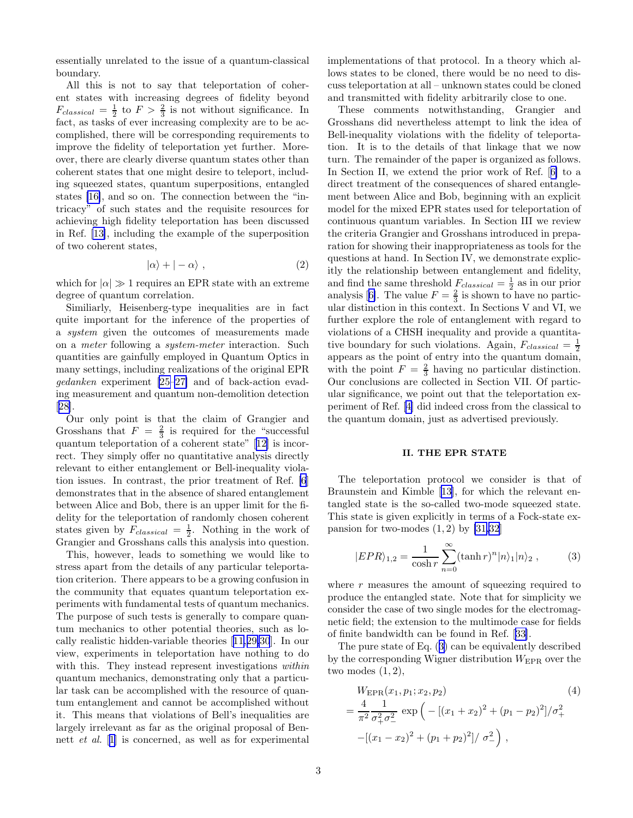<span id="page-2-0"></span>essentially unrelated to the issue of a quantum-classical boundary.

All this is not to say that teleportation of coherent states with increasing degrees of fidelity beyond  $F_{classical} = \frac{1}{2}$  to  $F > \frac{2}{3}$  is not without significance. In fact, as tasks of ever increasing complexity are to be accomplished, there will be corresponding requirements to improve the fidelity of teleportation yet further. Moreover, there are clearly diverse quantum states other than coherent states that one might desire to teleport, including squeezed states, quantum superpositions, entangled states [\[16\]](#page-13-0), and so on. The connection between the "intricacy" of such states and the requisite resources for achieving high fidelity teleportation has been discussed in Ref. [\[13\]](#page-13-0), including the example of the superposition of two coherent states,

$$
|\alpha\rangle + |-\alpha\rangle , \qquad (2)
$$

which for  $|\alpha| \gg 1$  requires an EPR state with an extreme degree of quantum correlation.

Similiarly, Heisenberg-type inequalities are in fact quite important for the inference of the properties of a system given the outcomes of measurements made on a meter following a system-meter interaction. Such quantities are gainfully employed in Quantum Optics in many settings, including realizations of the original EPR gedanken experiment [\[25–27\]](#page-13-0) and of back-action evading measurement and quantum non-demolition detection [[28\]](#page-13-0).

Our only point is that the claim of Grangier and Grosshans that  $F = \frac{2}{3}$  is required for the "successful quantum teleportation of a coherent state"[[12\]](#page-13-0) is incorrect. They simply offer no quantitative analysis directly relevant to either entanglement or Bell-inequality violation issues. In contrast, the prior treatment of Ref. [\[6](#page-13-0)] demonstrates that in the absence of shared entanglement between Alice and Bob, there is an upper limit for the fidelity for the teleportation of randomly chosen coherent states given by  $F_{classical} = \frac{1}{2}$ . Nothing in the work of Grangier and Grosshans calls this analysis into question.

This, however, leads to something we would like to stress apart from the details of any particular teleportation criterion. There appears to be a growing confusion in the community that equates quantum teleportation experiments with fundamental tests of quantum mechanics. The purpose of such tests is generally to compare quantum mechanics to other potential theories, such as locally realistic hidden-variable theories[[11,29,30](#page-13-0)]. In our view, experiments in teleportation have nothing to do with this. They instead represent investigations within quantum mechanics, demonstrating only that a particular task can be accomplished with the resource of quantum entanglement and cannot be accomplished without it. This means that violations of Bell's inequalities are largely irrelevant as far as the original proposal of Bennett et al. [[1\]](#page-13-0) is concerned, as well as for experimental implementations of that protocol. In a theory which allows states to be cloned, there would be no need to discuss teleportation at all – unknown states could be cloned and transmitted with fidelity arbitrarily close to one.

These comments notwithstanding, Grangier and Grosshans did nevertheless attempt to link the idea of Bell-inequality violations with the fidelity of teleportation. It is to the details of that linkage that we now turn. The remainder of the paper is organized as follows. In Section II, we extend the prior work of Ref.[[6\]](#page-13-0) to a direct treatment of the consequences of shared entanglement between Alice and Bob, beginning with an explicit model for the mixed EPR states used for teleportation of continuous quantum variables. In Section III we review the criteria Grangier and Grosshans introduced in preparation for showing their inappropriateness as tools for the questions at hand. In Section IV, we demonstrate explicitly the relationship between entanglement and fidelity, and find the same threshold  $F_{classical} = \frac{1}{2}$  as in our prior analysis[[6\]](#page-13-0). The value  $F = \frac{2}{3}$  is shown to have no particular distinction in this context. In Sections V and VI, we further explore the role of entanglement with regard to violations of a CHSH inequality and provide a quantitative boundary for such violations. Again,  $F_{classical} = \frac{1}{2}$ appears as the point of entry into the quantum domain, with the point  $F = \frac{2}{3}$  having no particular distinction. Our conclusions are collected in Section VII. Of particular significance, we point out that the teleportation experiment of Ref.[[4\]](#page-13-0) did indeed cross from the classical to the quantum domain, just as advertised previously.

## II. THE EPR STATE

The teleportation protocol we consider is that of Braunstein and Kimble [\[13](#page-13-0)], for which the relevant entangled state is the so-called two-mode squeezed state. This state is given explicitly in terms of a Fock-state expansion for two-modes  $(1, 2)$  by  $[31, 32]$ 

$$
|EPR\rangle_{1,2} = \frac{1}{\cosh r} \sum_{n=0}^{\infty} (\tanh r)^n |n\rangle_1 |n\rangle_2 ,\qquad (3)
$$

where  $r$  measures the amount of squeezing required to produce the entangled state. Note that for simplicity we consider the case of two single modes for the electromagnetic field; the extension to the multimode case for fields of finite bandwidth can be found in Ref.[[33\]](#page-13-0).

The pure state of Eq. (3) can be equivalently described by the corresponding Wigner distribution  $W_{\text{EPR}}$  over the two modes  $(1, 2)$ ,

$$
W_{\text{EPR}}(x_1, p_1; x_2, p_2)
$$
\n
$$
= \frac{4}{\pi^2} \frac{1}{\sigma_+^2 \sigma_-^2} \exp\left(-\left[(x_1 + x_2)^2 + (p_1 - p_2)^2\right]/\sigma_+^2\right)
$$
\n
$$
-\left[(x_1 - x_2)^2 + (p_1 + p_2)^2\right]/\sigma_-^2
$$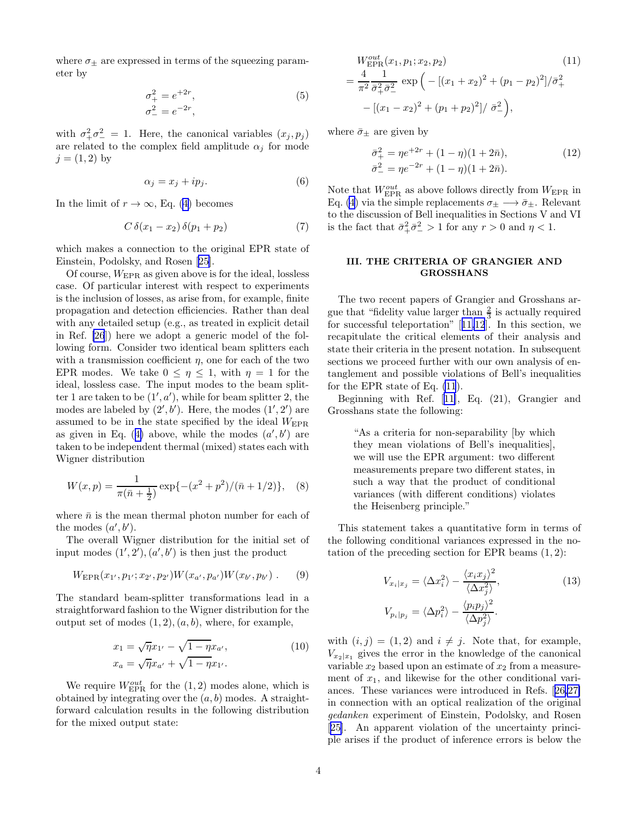<span id="page-3-0"></span>where  $\sigma_{\pm}$  are expressed in terms of the squeezing parameter by

$$
\sigma_{+}^{2} = e^{+2r}, \n\sigma_{-}^{2} = e^{-2r},
$$
\n(5)

with  $\sigma^2_+\sigma^2_- = 1$ . Here, the canonical variables  $(x_j, p_j)$ are related to the complex field amplitude  $\alpha_j$  for mode  $j = (1, 2)$  by

$$
\alpha_j = x_j + ip_j. \tag{6}
$$

In the limit of  $r \to \infty$ , Eq. [\(4](#page-2-0)) becomes

$$
C \,\delta(x_1 - x_2) \,\delta(p_1 + p_2) \tag{7}
$$

which makes a connection to the original EPR state of Einstein, Podolsky, and Rosen [\[25](#page-13-0)].

Of course, WEPR as given above is for the ideal, lossless case. Of particular interest with respect to experiments is the inclusion of losses, as arise from, for example, finite propagation and detection efficiencies. Rather than deal with any detailed setup (e.g., as treated in explicit detail in Ref. [\[26](#page-13-0)]) here we adopt a generic model of the following form. Consider two identical beam splitters each with a transmission coefficient  $\eta$ , one for each of the two EPR modes. We take  $0 \leq \eta \leq 1$ , with  $\eta = 1$  for the ideal, lossless case. The input modes to the beam splitter 1 are taken to be  $(1', a')$ , while for beam splitter 2, the modes are labeled by  $(2', b')$ . Here, the modes  $(1', 2')$  are assumed to be in the state specified by the ideal  $W_{\text{EPR}}$ asgiven in Eq. ([4\)](#page-2-0) above, while the modes  $(a', b')$  are taken to be independent thermal (mixed) states each with Wigner distribution

$$
W(x,p) = \frac{1}{\pi(\bar{n} + \frac{1}{2})} \exp\{-(x^2 + p^2)/(\bar{n} + 1/2)\}, \quad (8)
$$

where  $\bar{n}$  is the mean thermal photon number for each of the modes  $(a', b')$ .

The overall Wigner distribution for the initial set of input modes  $(1', 2'), (a', b')$  is then just the product

$$
W_{\rm EPR}(x_{1'}, p_{1'}; x_{2'}, p_{2'}) W(x_{a'}, p_{a'}) W(x_{b'}, p_{b'}) . \qquad (9)
$$

The standard beam-splitter transformations lead in a straightforward fashion to the Wigner distribution for the output set of modes  $(1, 2), (a, b)$ , where, for example,

$$
x_1 = \sqrt{\eta} x_{1'} - \sqrt{1 - \eta} x_{a'},
$$
  
\n
$$
x_a = \sqrt{\eta} x_{a'} + \sqrt{1 - \eta} x_{1'}.
$$
\n(10)

We require  $W_{\text{EPR}}^{out}$  for the  $(1, 2)$  modes alone, which is obtained by integrating over the  $(a, b)$  modes. A straightforward calculation results in the following distribution for the mixed output state:

$$
W_{\text{EPR}}^{out}(x_1, p_1; x_2, p_2)
$$
\n
$$
= \frac{4}{\pi^2} \frac{1}{\bar{\sigma}_+^2 \bar{\sigma}_-^2} \exp\left(-\left[(x_1 + x_2)^2 + (p_1 - p_2)^2\right]/\bar{\sigma}_+^2\right)
$$
\n
$$
-\left[(x_1 - x_2)^2 + (p_1 + p_2)^2\right]/\bar{\sigma}_-^2
$$
\n
$$
= \frac{2}{\pi^2} \exp\left(-\frac{2}{\pi^2} \frac{1}{\bar{\sigma}_-^2} + \frac{1}{\bar{\sigma}_-^2}\right)
$$
\n
$$
= \frac{2}{\pi^2} \exp\left(-\frac{2}{\pi^2} \frac{1}{\bar{\sigma}_-^2} + \frac{1}{\bar{\sigma}_-^2}\right)
$$
\n
$$
= \frac{2}{\pi^2} \exp\left(-\frac{2}{\pi^2} \frac{1}{\bar{\sigma}_-^2} + \frac{1}{\bar{\sigma}_-^2}\right)
$$
\n
$$
= \frac{2}{\pi^2} \exp\left(-\frac{2}{\pi^2} \frac{1}{\bar{\sigma}_-^2} + \frac{1}{\bar{\sigma}_-^2}\right)
$$
\n
$$
= \frac{2}{\pi^2} \exp\left(-\frac{2}{\pi^2} \frac{1}{\bar{\sigma}_-^2} + \frac{1}{\bar{\sigma}_-^2}\right)
$$
\n
$$
= \frac{2}{\pi^2} \exp\left(-\frac{2}{\pi^2} \frac{1}{\bar{\sigma}_-^2} + \frac{1}{\bar{\sigma}_-^2}\right)
$$
\n
$$
= \frac{2}{\pi^2} \exp\left(-\frac{2}{\pi^2} \frac{1}{\bar{\sigma}_-^2} + \frac{1}{\bar{\sigma}_-^2}\right)
$$
\n
$$
= \frac{2}{\pi^2} \exp\left(-\frac{2}{\pi^2} \frac{1}{\bar{\sigma}_-^2} + \frac{1}{\bar{\sigma}_-^2}\right)
$$
\n
$$
= \frac{2}{\pi^2} \exp\left(-\frac{2}{\pi^2} \frac{1}{\bar{\sigma}_-^2} + \frac{1}{\bar{\sigma}_-^2}\right)
$$
\n
$$
=
$$

where  $\bar{\sigma}_{\pm}$  are given by

$$
\begin{aligned} \bar{\sigma}_+^2 &= \eta e^{+2r} + (1 - \eta)(1 + 2\bar{n}), \\ \bar{\sigma}_-^2 &= \eta e^{-2r} + (1 - \eta)(1 + 2\bar{n}). \end{aligned} \tag{12}
$$

Note that  $W^{out}_{\rm EPR}$  as above follows directly from  $W_{\rm EPR}$  in Eq. [\(4](#page-2-0)) via the simple replacements  $\sigma_{\pm} \longrightarrow \bar{\sigma}_{\pm}$ . Relevant to the discussion of Bell inequalities in Sections V and VI is the fact that  $\bar{\sigma}_+^2 \bar{\sigma}_-^2 > 1$  for any  $r > 0$  and  $\eta < 1$ .

# III. THE CRITERIA OF GRANGIER AND GROSSHANS

The two recent papers of Grangier and Grosshans argue that "fidelity value larger than  $\frac{2}{3}$  is actually required for successful teleportation"[[11,12](#page-13-0)]. In this section, we recapitulate the critical elements of their analysis and state their criteria in the present notation. In subsequent sections we proceed further with our own analysis of entanglement and possible violations of Bell's inequalities for the EPR state of Eq. (11).

Beginning with Ref.[[11\]](#page-13-0), Eq. (21), Grangier and Grosshans state the following:

> "As a criteria for non-separability [by which they mean violations of Bell's inequalities], we will use the EPR argument: two different measurements prepare two different states, in such a way that the product of conditional variances (with different conditions) violates the Heisenberg principle."

This statement takes a quantitative form in terms of the following conditional variances expressed in the notation of the preceding section for EPR beams  $(1, 2)$ :

$$
V_{x_i|x_j} = \langle \Delta x_i^2 \rangle - \frac{\langle x_i x_j \rangle^2}{\langle \Delta x_j^2 \rangle},
$$
  
\n
$$
V_{p_i|p_j} = \langle \Delta p_i^2 \rangle - \frac{\langle p_i p_j \rangle^2}{\langle \Delta p_j^2 \rangle}.
$$
\n(13)

with  $(i, j) = (1, 2)$  and  $i \neq j$ . Note that, for example,  $V_{x_2|x_1}$  gives the error in the knowledge of the canonical variable  $x_2$  based upon an estimate of  $x_2$  from a measurement of  $x_1$ , and likewise for the other conditional variances. These variances were introduced in Refs.[[26,27\]](#page-13-0) in connection with an optical realization of the original gedanken experiment of Einstein, Podolsky, and Rosen [[25\]](#page-13-0). An apparent violation of the uncertainty principle arises if the product of inference errors is below the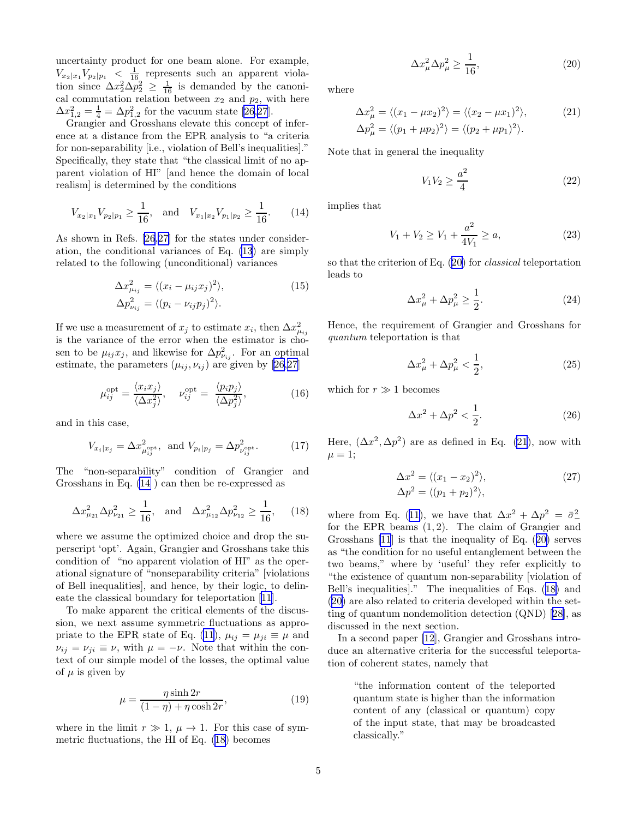<span id="page-4-0"></span>uncertainty product for one beam alone. For example,  $V_{x_2|x_1}V_{p_2|p_1} < \frac{1}{16}$  represents such an apparent violation since  $\Delta x_2^2 \Delta p_2^2 \geq \frac{1}{16}$  is demanded by the canonical commutation relation between  $x_2$  and  $p_2$ , with here  $\Delta x_{1,2}^2 = \frac{1}{4} = \Delta p_{1,2}^2$  for the vacuum state [\[26](#page-13-0),[27](#page-13-0)].

Grangier and Grosshans elevate this concept of inference at a distance from the EPR analysis to "a criteria for non-separability [i.e., violation of Bell's inequalities]." Specifically, they state that "the classical limit of no apparent violation of HI" [and hence the domain of local realism] is determined by the conditions

$$
V_{x_2|x_1}V_{p_2|p_1} \ge \frac{1}{16}, \text{ and } V_{x_1|x_2}V_{p_1|p_2} \ge \frac{1}{16}.
$$
 (14)

As shown in Refs. [\[26](#page-13-0),[27\]](#page-13-0) for the states under consideration, the conditional variances of Eq. [\(13](#page-3-0)) are simply related to the following (unconditional) variances

$$
\Delta x_{\mu_{ij}}^2 = \langle (x_i - \mu_{ij} x_j)^2 \rangle,
$$
  
\n
$$
\Delta p_{\nu_{ij}}^2 = \langle (p_i - \nu_{ij} p_j)^2 \rangle.
$$
\n(15)

If we use a measurement of  $x_j$  to estimate  $x_i$ , then  $\Delta x_{\mu_{ij}}^2$ is the variance of the error when the estimator is chosen to be  $\mu_{ij} x_j$ , and likewise for  $\Delta p_{\nu_{ij}}^2$ . For an optimal estimate, the parameters  $(\mu_{ij}, \nu_{ij})$  are given by [\[26](#page-13-0),[27\]](#page-13-0)

$$
\mu_{ij}^{\text{opt}} = \frac{\langle x_i x_j \rangle}{\langle \Delta x_j^2 \rangle}, \quad \nu_{ij}^{\text{opt}} = \frac{\langle p_i p_j \rangle}{\langle \Delta p_j^2 \rangle}, \tag{16}
$$

and in this case,

$$
V_{x_i|x_j} = \Delta x_{\mu_{ij}^{\text{opt}}}^2, \text{ and } V_{p_i|p_j} = \Delta p_{\nu_{ij}^{\text{opt}}}^2.
$$
 (17)

The "non-separability" condition of Grangier and Grosshans in Eq. (14 ) can then be re-expressed as

$$
\Delta x_{\mu_{21}}^2 \Delta p_{\nu_{21}}^2 \ge \frac{1}{16}, \text{ and } \Delta x_{\mu_{12}}^2 \Delta p_{\nu_{12}}^2 \ge \frac{1}{16}, \quad (18)
$$

where we assume the optimized choice and drop the superscript 'opt'. Again, Grangier and Grosshans take this condition of "no apparent violation of HI" as the operational signature of "nonseparability criteria" [violations of Bell inequalities], and hence, by their logic, to delineate the classical boundary for teleportation[[11\]](#page-13-0).

To make apparent the critical elements of the discussion, we next assume symmetric fluctuations as appro-priate to the EPR state of Eq. [\(11](#page-3-0)),  $\mu_{ij} = \mu_{ji} \equiv \mu$  and  $\nu_{ij} = \nu_{ji} \equiv \nu$ , with  $\mu = -\nu$ . Note that within the context of our simple model of the losses, the optimal value of  $\mu$  is given by

$$
\mu = \frac{\eta \sinh 2r}{(1 - \eta) + \eta \cosh 2r},\tag{19}
$$

where in the limit  $r \gg 1$ ,  $\mu \rightarrow 1$ . For this case of symmetric fluctuations, the HI of Eq. (18) becomes

$$
\Delta x_{\mu}^{2} \Delta p_{\mu}^{2} \ge \frac{1}{16},\tag{20}
$$

where

$$
\Delta x_{\mu}^{2} = \langle (x_{1} - \mu x_{2})^{2} \rangle = \langle (x_{2} - \mu x_{1})^{2} \rangle, \qquad (21)
$$
  

$$
\Delta p_{\mu}^{2} = \langle (p_{1} + \mu p_{2})^{2} \rangle = \langle (p_{2} + \mu p_{1})^{2} \rangle.
$$

Note that in general the inequality

$$
V_1 V_2 \ge \frac{a^2}{4} \tag{22}
$$

implies that

$$
V_1 + V_2 \ge V_1 + \frac{a^2}{4V_1} \ge a,\tag{23}
$$

so that the criterion of Eq. (20) for classical teleportation leads to

$$
\Delta x_{\mu}^2 + \Delta p_{\mu}^2 \ge \frac{1}{2}.\tag{24}
$$

Hence, the requirement of Grangier and Grosshans for quantum teleportation is that

$$
\Delta x_{\mu}^2 + \Delta p_{\mu}^2 < \frac{1}{2},\tag{25}
$$

which for  $r \gg 1$  becomes

$$
\Delta x^2 + \Delta p^2 < \frac{1}{2}.\tag{26}
$$

Here,  $(\Delta x^2, \Delta p^2)$  are as defined in Eq. (21), now with  $\mu = 1;$ 

$$
\Delta x^2 = \langle (x_1 - x_2)^2 \rangle, \n\Delta p^2 = \langle (p_1 + p_2)^2 \rangle,
$$
\n(27)

wherefrom Eq. ([11\)](#page-3-0), we have that  $\Delta x^2 + \Delta p^2 = \bar{\sigma}^2$ for the EPR beams (1, 2). The claim of Grangier and Grosshans [\[11](#page-13-0)] is that the inequality of Eq. (20) serves as "the condition for no useful entanglement between the two beams," where by 'useful' they refer explicitly to "the existence of quantum non-separability [violation of Bell's inequalities]." The inequalities of Eqs. (18) and (20) are also related to criteria developed within the setting of quantum nondemolition detection (QND)[[28\]](#page-13-0), as discussed in the next section.

In a second paper [\[12](#page-13-0)], Grangier and Grosshans introduce an alternative criteria for the successful teleportation of coherent states, namely that

> "the information content of the teleported quantum state is higher than the information content of any (classical or quantum) copy of the input state, that may be broadcasted classically."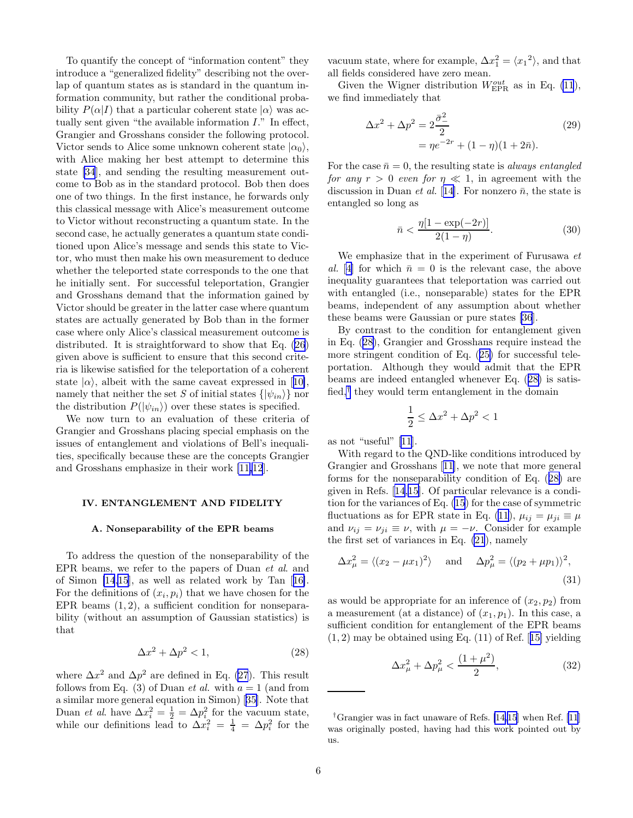<span id="page-5-0"></span>To quantify the concept of "information content" they introduce a "generalized fidelity" describing not the overlap of quantum states as is standard in the quantum information community, but rather the conditional probability  $P(\alpha|I)$  that a particular coherent state  $|\alpha\rangle$  was actually sent given "the available information I." In effect, Grangier and Grosshans consider the following protocol. Victor sends to Alice some unknown coherent state  $|\alpha_0\rangle$ , with Alice making her best attempt to determine this state [\[34](#page-13-0)], and sending the resulting measurement outcome to Bob as in the standard protocol. Bob then does one of two things. In the first instance, he forwards only this classical message with Alice's measurement outcome to Victor without reconstructing a quantum state. In the second case, he actually generates a quantum state conditioned upon Alice's message and sends this state to Victor, who must then make his own measurement to deduce whether the teleported state corresponds to the one that he initially sent. For successful teleportation, Grangier and Grosshans demand that the information gained by Victor should be greater in the latter case where quantum states are actually generated by Bob than in the former case where only Alice's classical measurement outcome is distributed. It is straightforward to show that Eq. [\(26](#page-4-0)) given above is sufficient to ensure that this second criteria is likewise satisfied for the teleportation of a coherent state $|\alpha\rangle$ , albeit with the same caveat expressed in [[10\]](#page-13-0), namely that neither the set S of initial states  $\{|\psi_{in}\rangle\}$  nor the distribution  $P(|\psi_{in}\rangle)$  over these states is specified.

We now turn to an evaluation of these criteria of Grangier and Grosshans placing special emphasis on the issues of entanglement and violations of Bell's inequalities, specifically because these are the concepts Grangier and Grosshans emphasize in their work [\[11,12](#page-13-0)].

#### IV. ENTANGLEMENT AND FIDELITY

# A. Nonseparability of the EPR beams

To address the question of the nonseparability of the EPR beams, we refer to the papers of Duan et al. and of Simon [\[14,15](#page-13-0)], as well as related work by Tan[[16\]](#page-13-0). For the definitions of  $(x_i, p_i)$  that we have chosen for the EPR beams  $(1, 2)$ , a sufficient condition for nonseparability (without an assumption of Gaussian statistics) is that

$$
\Delta x^2 + \Delta p^2 < 1,\tag{28}
$$

where  $\Delta x^2$  and  $\Delta p^2$  are defined in Eq. [\(27](#page-4-0)). This result follows from Eq. (3) of Duan *et al.* with  $a = 1$  (and from a similar more general equation in Simon)[[35](#page-13-0)]. Note that Duan et al. have  $\Delta x_i^2 = \frac{1}{2} = \Delta p_i^2$  for the vacuum state, while our definitions lead to  $\Delta x_i^2 = \frac{1}{4} = \Delta p_i^2$  for the

vacuum state, where for example,  $\Delta x_1^2 = \langle x_1^2 \rangle$ , and that all fields considered have zero mean.

Given the Wigner distribution  $W_{\text{EPR}}^{out}$  as in Eq. [\(11](#page-3-0)), we find immediately that

$$
\Delta x^{2} + \Delta p^{2} = 2 \frac{\bar{\sigma}_{-}^{2}}{2}
$$
  
=  $\eta e^{-2r} + (1 - \eta)(1 + 2\bar{n}).$  (29)

For the case  $\bar{n} = 0$ , the resulting state is *always entangled* for any  $r > 0$  even for  $\eta \ll 1$ , in agreement with the discussion in Duan *et al.* [[14\]](#page-13-0). For nonzero  $\bar{n}$ , the state is entangled so long as

$$
\bar{n} < \frac{\eta[1 - \exp(-2r)]}{2(1 - \eta)}.\tag{30}
$$

We emphasize that in the experiment of Furusawa et al. [[4\]](#page-13-0) for which  $\bar{n} = 0$  is the relevant case, the above inequality guarantees that teleportation was carried out with entangled (i.e., nonseparable) states for the EPR beams, independent of any assumption about whether these beams were Gaussian or pure states [\[36](#page-13-0)].

By contrast to the condition for entanglement given in Eq. (28), Grangier and Grosshans require instead the more stringent condition of Eq.([25\)](#page-4-0) for successful teleportation. Although they would admit that the EPR beams are indeed entangled whenever Eq. (28) is satisfied,<sup>†</sup> they would term entanglement in the domain

$$
\frac{1}{2} \le \Delta x^2 + \Delta p^2 < 1
$$

as not "useful" [\[11](#page-13-0)].

With regard to the QND-like conditions introduced by Grangier and Grosshans[[11\]](#page-13-0), we note that more general forms for the nonseparability condition of Eq. (28) are given in Refs.[[14](#page-13-0),[15\]](#page-13-0). Of particular relevance is a condition for the variances of Eq. [\(15](#page-4-0)) for the case of symmetric fluctuations as for EPR state in Eq. [\(11](#page-3-0)),  $\mu_{ij} = \mu_{ji} \equiv \mu$ and  $\nu_{ij} = \nu_{ji} \equiv \nu$ , with  $\mu = -\nu$ . Consider for example the first set of variances in Eq. [\(21](#page-4-0)), namely

$$
\Delta x_{\mu}^2 = \langle (x_2 - \mu x_1)^2 \rangle \quad \text{and} \quad \Delta p_{\mu}^2 = \langle (p_2 + \mu p_1) \rangle^2,
$$
\n(31)

as would be appropriate for an inference of  $(x_2, p_2)$  from a measurement (at a distance) of  $(x_1, p_1)$ . In this case, a sufficient condition for entanglement of the EPR beams  $(1, 2)$  $(1, 2)$  $(1, 2)$  may be obtained using Eq.  $(11)$  of Ref. [[15\]](#page-13-0) yielding

$$
\Delta x_{\mu}^{2} + \Delta p_{\mu}^{2} < \frac{(1 + \mu^{2})}{2},\tag{32}
$$

<sup>&</sup>lt;sup>†</sup>Grangier was in fact unaware of Refs. [\[14,15](#page-13-0)] when Ref. [\[11](#page-13-0)] was originally posted, having had this work pointed out by us.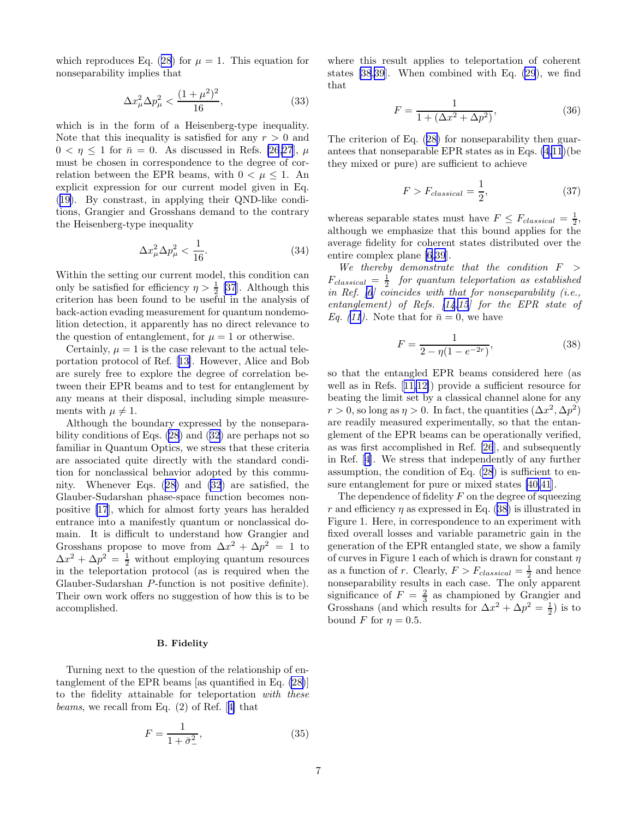<span id="page-6-0"></span>whichreproduces Eq. ([28\)](#page-5-0) for  $\mu = 1$ . This equation for nonseparability implies that

$$
\Delta x_{\mu}^{2} \Delta p_{\mu}^{2} < \frac{(1+\mu^{2})^{2}}{16},\tag{33}
$$

which is in the form of a Heisenberg-type inequality. Note that this inequality is satisfied for any  $r > 0$  and  $0 < \eta \leq 1$  for  $\bar{n} = 0$ . As discussed in Refs. [\[26,27](#page-13-0)],  $\mu$ must be chosen in correspondence to the degree of correlation between the EPR beams, with  $0 < \mu < 1$ . An explicit expression for our current model given in Eq. ([19\)](#page-4-0). By constrast, in applying their QND-like conditions, Grangier and Grosshans demand to the contrary the Heisenberg-type inequality

$$
\Delta x_{\mu}^{2} \Delta p_{\mu}^{2} < \frac{1}{16}.\tag{34}
$$

Within the setting our current model, this condition can only be satisfied for efficiency  $\eta > \frac{1}{2}$  [\[37](#page-13-0)]. Although this criterion has been found to be useful in the analysis of back-action evading measurement for quantum nondemolition detection, it apparently has no direct relevance to the question of entanglement, for  $\mu = 1$  or otherwise.

Certainly,  $\mu = 1$  is the case relevant to the actual teleportation protocol of Ref.[[13\]](#page-13-0). However, Alice and Bob are surely free to explore the degree of correlation between their EPR beams and to test for entanglement by any means at their disposal, including simple measurements with  $\mu \neq 1$ .

Although the boundary expressed by the nonseparability conditions of Eqs. [\(28](#page-5-0)) and([32\)](#page-5-0) are perhaps not so familiar in Quantum Optics, we stress that these criteria are associated quite directly with the standard condition for nonclassical behavior adopted by this community. Whenever Eqs.([28\)](#page-5-0) and [\(32](#page-5-0)) are satisfied, the Glauber-Sudarshan phase-space function becomes nonpositive [\[17](#page-13-0)], which for almost forty years has heralded entrance into a manifestly quantum or nonclassical domain. It is difficult to understand how Grangier and Grosshans propose to move from  $\Delta x^2 + \Delta p^2 = 1$  to  $\Delta x^2 + \Delta p^2 = \frac{1}{2}$  without employing quantum resources in the teleportation protocol (as is required when the Glauber-Sudarshan P-function is not positive definite). Their own work offers no suggestion of how this is to be accomplished.

## B. Fidelity

Turning next to the question of the relationship of entanglement of the EPR beams [as quantified in Eq. [\(28\)](#page-5-0)] to the fidelity attainable for teleportation with these beams, we recall from Eq. (2) of Ref.[[4\]](#page-13-0) that

$$
F = \frac{1}{1 + \bar{\sigma}_{-}^{2}},\tag{35}
$$

where this result applies to teleportation of coherent states [\[38,39](#page-13-0)]. When combined with Eq. [\(29](#page-5-0)), we find that

$$
F = \frac{1}{1 + (\Delta x^2 + \Delta p^2)},
$$
\n(36)

The criterion of Eq.([28\)](#page-5-0) for nonseparability then guarantees that nonseparable EPR states as in Eqs. [\(4](#page-2-0)[,11](#page-3-0))(be they mixed or pure) are sufficient to achieve

$$
F > F_{classical} = \frac{1}{2},\tag{37}
$$

whereas separable states must have  $F \n\t\leq F_{classical} = \frac{1}{2}$ , although we emphasize that this bound applies for the average fidelity for coherent states distributed over the entire complex plane [\[6,39](#page-13-0)].

We thereby demonstrate that the condition  $F >$  $F_{classical} = \frac{1}{2}$  for quantum teleportation as established in Ref.  $[6]$  coincides with that for nonseparability (i.e., entanglement) of Refs.  $\left[14,15\right]$  for the EPR state of Eq.([11](#page-3-0)). Note that for  $\bar{n} = 0$ , we have

$$
F = \frac{1}{2 - \eta (1 - e^{-2r})},\tag{38}
$$

so that the entangled EPR beams considered here (as well as in Refs.[[11,12\]](#page-13-0)) provide a sufficient resource for beating the limit set by a classical channel alone for any  $r > 0$ , so long as  $\eta > 0$ . In fact, the quantities  $(\Delta x^2, \Delta p^2)$ are readily measured experimentally, so that the entanglement of the EPR beams can be operationally verified, as was first accomplished in Ref. [\[26](#page-13-0)], and subsequently in Ref. [\[4](#page-13-0)]. We stress that independently of any further assumption, the condition of Eq. [\(28](#page-5-0)) is sufficient to ensure entanglement for pure or mixed states [\[40,41](#page-14-0)].

The dependence of fidelity  $F$  on the degree of squeezing r and efficiency  $\eta$  as expressed in Eq. (38) is illustrated in Figure 1. Here, in correspondence to an experiment with fixed overall losses and variable parametric gain in the generation of the EPR entangled state, we show a family of curves in Figure 1 each of which is drawn for constant  $\eta$ as a function of r. Clearly,  $F > F_{classical} = \frac{1}{2}$  and hence nonseparability results in each case. The only apparent significance of  $F = \frac{2}{3}$  as championed by Grangier and Grosshans (and which results for  $\Delta x^2 + \Delta p^2 = \frac{1}{2}$ ) is to bound F for  $\eta = 0.5$ .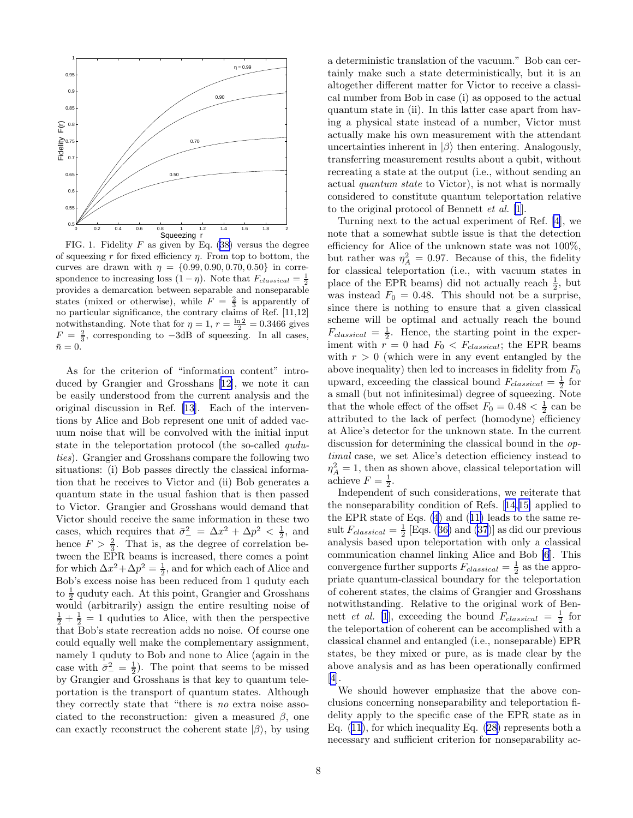

FIG.1. Fidelity  $F$  as given by Eq. ([38\)](#page-6-0) versus the degree of squeezing r for fixed efficiency  $\eta$ . From top to bottom, the curves are drawn with  $\eta = \{0.99, 0.90, 0.70, 0.50\}$  in correspondence to increasing loss  $(1 - \eta)$ . Note that  $F_{classical} = \frac{1}{2}$ provides a demarcation between separable and nonseparable states (mixed or otherwise), while  $F = \frac{2}{3}$  is apparently of no particular significance, the contrary claims of Ref. [11,12] notwithstanding. Note that for  $\eta = 1$ ,  $r = \frac{\ln 2}{2} = 0.3466$  gives  $F = \frac{2}{3}$ , corresponding to  $-3dB$  of squeezing. In all cases,  $\bar{n}=0.$ 

As for the criterion of "information content" introduced by Grangier and Grosshans[[12\]](#page-13-0), we note it can be easily understood from the current analysis and the original discussion in Ref. [\[13](#page-13-0)]. Each of the interventions by Alice and Bob represent one unit of added vacuum noise that will be convolved with the initial input state in the teleportation protocol (the so-called quduties). Grangier and Grosshans compare the following two situations: (i) Bob passes directly the classical information that he receives to Victor and (ii) Bob generates a quantum state in the usual fashion that is then passed to Victor. Grangier and Grosshans would demand that Victor should receive the same information in these two cases, which requires that  $\bar{\sigma}^2 = \Delta x^2 + \Delta p^2 < \frac{1}{2}$ , and hence  $F > \frac{2}{3}$ . That is, as the degree of correlation between the EPR beams is increased, there comes a point for which  $\Delta x^2 + \Delta p^2 = \frac{1}{2}$ , and for which each of Alice and Bob's excess noise has been reduced from 1 quduty each to  $\frac{1}{2}$  quduty each. At this point, Grangier and Grosshans would (arbitrarily) assign the entire resulting noise of  $\frac{1}{2} + \frac{1}{2} = 1$  quduties to Alice, with then the perspective that Bob's state recreation adds no noise. Of course one could equally well make the complementary assignment, namely 1 quduty to Bob and none to Alice (again in the case with  $\bar{\sigma}_{-}^{2} = \frac{1}{2}$ . The point that seems to be missed by Grangier and Grosshans is that key to quantum teleportation is the transport of quantum states. Although they correctly state that "there is no extra noise associated to the reconstruction: given a measured  $\beta$ , one can exactly reconstruct the coherent state  $|\beta\rangle$ , by using a deterministic translation of the vacuum." Bob can certainly make such a state deterministically, but it is an altogether different matter for Victor to receive a classical number from Bob in case (i) as opposed to the actual quantum state in (ii). In this latter case apart from having a physical state instead of a number, Victor must actually make his own measurement with the attendant uncertainties inherent in  $|\beta\rangle$  then entering. Analogously, transferring measurement results about a qubit, without recreating a state at the output (i.e., without sending an actual quantum state to Victor), is not what is normally considered to constitute quantum teleportation relative to the original protocol of Bennett et al. [\[1](#page-13-0)]. Turning next to the actual experiment of Ref. [\[4](#page-13-0)], we

note that a somewhat subtle issue is that the detection efficiency for Alice of the unknown state was not 100%, but rather was  $\eta_A^2 = 0.97$ . Because of this, the fidelity for classical teleportation (i.e., with vacuum states in place of the EPR beams) did not actually reach  $\frac{1}{2}$ , but was instead  $F_0 = 0.48$ . This should not be a surprise, since there is nothing to ensure that a given classical scheme will be optimal and actually reach the bound  $F_{classical} = \frac{1}{2}$ . Hence, the starting point in the experiment with  $r = 0$  had  $F_0 < F_{classical}$ ; the EPR beams with  $r > 0$  (which were in any event entangled by the above inequality) then led to increases in fidelity from  $F_0$ upward, exceeding the classical bound  $F_{classical} = \frac{1}{2}$  for a small (but not infinitesimal) degree of squeezing. Note that the whole effect of the offset  $F_0 = 0.48 < \frac{1}{2}$  can be attributed to the lack of perfect (homodyne) efficiency at Alice's detector for the unknown state. In the current discussion for determining the classical bound in the optimal case, we set Alice's detection efficiency instead to  $\eta_A^2 = 1$ , then as shown above, classical teleportation will achieve  $F = \frac{1}{2}$ .

Independent of such considerations, we reiterate that the nonseparability condition of Refs.[[14,15\]](#page-13-0) applied to the EPR state of Eqs. [\(4](#page-2-0)) and([11\)](#page-3-0) leads to the same re-sult $F_{classical} = \frac{1}{2}$  [Eqs. ([36\)](#page-6-0) and [\(37](#page-6-0))] as did our previous analysis based upon teleportation with only a classical communication channel linking Alice and Bob [\[6](#page-13-0)]. This convergence further supports  $F_{classical} = \frac{1}{2}$  as the appropriate quantum-classical boundary for the teleportation of coherent states, the claims of Grangier and Grosshans notwithstanding. Relative to the original work of Bennett *et al.* [\[1](#page-13-0)], exceeding the bound  $F_{classical} = \frac{1}{2}$  for the teleportation of coherent can be accomplished with a classical channel and entangled (i.e., nonseparable) EPR states, be they mixed or pure, as is made clear by the above analysis and as has been operationally confirmed [[4\]](#page-13-0).

We should however emphasize that the above conclusions concerning nonseparability and teleportation fidelity apply to the specific case of the EPR state as in Eq. $(11)$  $(11)$  $(11)$ , for which inequality Eq.  $(28)$  $(28)$  represents both a necessary and sufficient criterion for nonseparability ac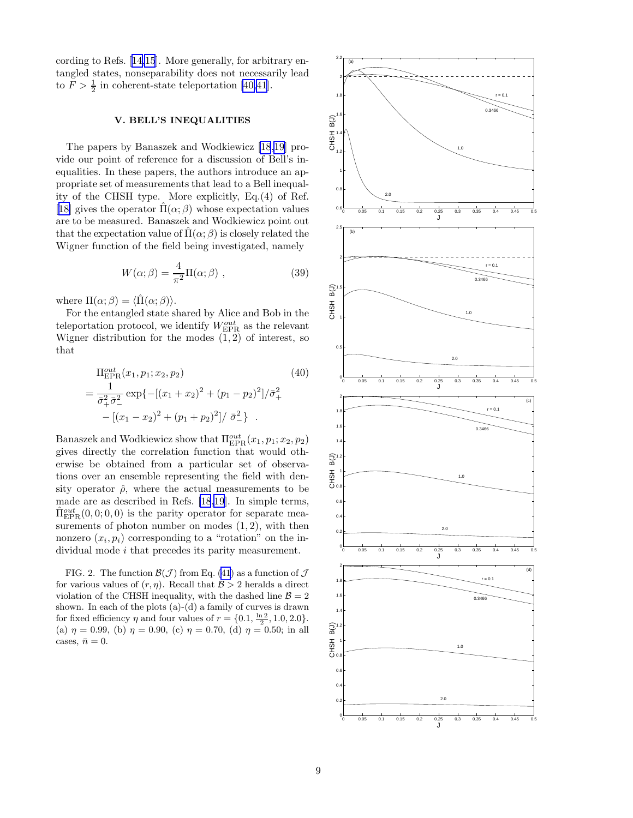cording to Refs.[[14,15](#page-13-0)]. More generally, for arbitrary entangled states, nonseparability does not necessarily lead to  $F > \frac{1}{2}$  in coherent-state teleportation [\[40,41](#page-14-0)].

## V. BELL'S INEQUALITIES

The papers by Banaszek and Wodkiewicz [\[18,19](#page-13-0)] provide our point of reference for a discussion of Bell's inequalities. In these papers, the authors introduce an appropriate set of measurements that lead to a Bell inequality of the CHSH type. More explicitly, Eq.(4) of Ref. [[18\]](#page-13-0) gives the operator  $\Pi(\alpha;\beta)$  whose expectation values are to be measured. Banaszek and Wodkiewicz point out that the expectation value of  $\Pi(\alpha;\beta)$  is closely related the Wigner function of the field being investigated, namely

$$
W(\alpha;\beta) = \frac{4}{\pi^2} \Pi(\alpha;\beta) , \qquad (39)
$$

where  $\Pi(\alpha; \beta) = \langle \hat{\Pi}(\alpha; \beta) \rangle$ .

For the entangled state shared by Alice and Bob in the teleportation protocol, we identify  $W^{out}_{\text{EPR}}$  as the relevant Wigner distribution for the modes  $(1, 2)$  of interest, so that

$$
\Pi_{\text{EPR}}^{out}(x_1, p_1; x_2, p_2)
$$
\n
$$
= \frac{1}{\bar{\sigma}_+^2 \bar{\sigma}_-^2} \exp\left\{-\left[(x_1 + x_2)^2 + (p_1 - p_2)^2\right]/\bar{\sigma}_+^2 - \left[(x_1 - x_2)^2 + (p_1 + p_2)^2\right]/\bar{\sigma}_-^2\right\} .
$$
\n(40)

Banaszek and Wodkiewicz show that  $\Pi_{\rm EPR}^{out}(x_1, p_1; x_2, p_2)$ gives directly the correlation function that would otherwise be obtained from a particular set of observations over an ensemble representing the field with density operator  $\hat{\rho}$ , where the actual measurements to be made are as described in Refs. [\[18,19](#page-13-0)]. In simple terms,  $\hat{\Pi}_{\rm EPR}^{out}(0,0;0,0)$  is the parity operator for separate measurements of photon number on modes  $(1, 2)$ , with then nonzero  $(x_i, p_i)$  corresponding to a "rotation" on the individual mode *i* that precedes its parity measurement.

FIG. 2. The function  $\mathcal{B}(\mathcal{J})$  from Eq. [\(41](#page-9-0)) as a function of  $\mathcal{J}$ for various values of  $(r, \eta)$ . Recall that  $\mathcal{B} > 2$  heralds a direct violation of the CHSH inequality, with the dashed line  $\mathcal{B} = 2$ shown. In each of the plots (a)-(d) a family of curves is drawn for fixed efficiency  $\eta$  and four values of  $r = \{0.1, \frac{\ln 2}{2}, 1.0, 2.0\}.$ (a)  $\eta = 0.99$ , (b)  $\eta = 0.90$ , (c)  $\eta = 0.70$ , (d)  $\eta = 0.50$ ; in all cases,  $\bar{n} = 0$ .

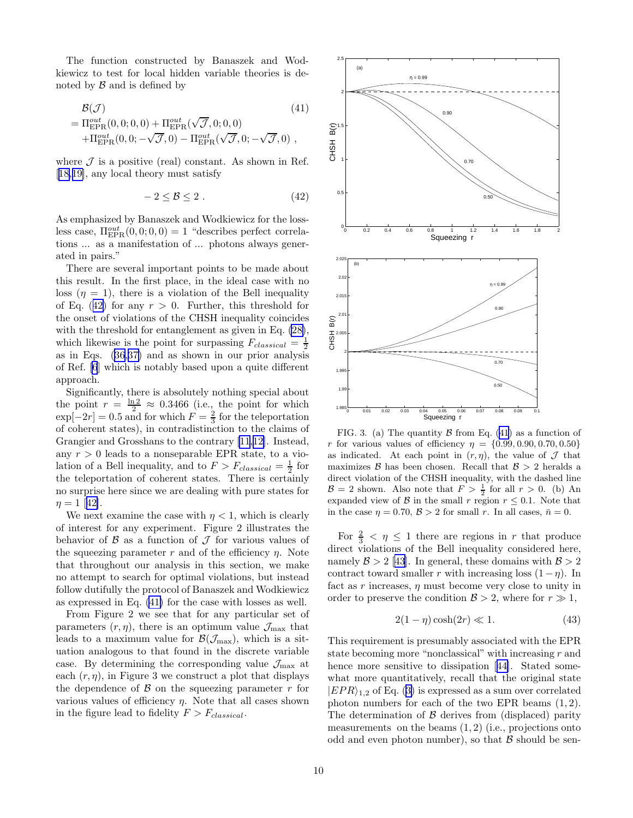<span id="page-9-0"></span>The function constructed by Banaszek and Wodkiewicz to test for local hidden variable theories is denoted by  $\beta$  and is defined by

$$
\mathcal{B}(\mathcal{J})
$$
\n
$$
= \Pi_{\text{EPR}}^{out}(0,0;0,0) + \Pi_{\text{EPR}}^{out}(\sqrt{\mathcal{J}},0;0,0) \n+ \Pi_{\text{EPR}}^{out}(0,0;-\sqrt{\mathcal{J}},0) - \Pi_{\text{EPR}}^{out}(\sqrt{\mathcal{J}},0;-\sqrt{\mathcal{J}},0) ,
$$
\n(41)

where  $\mathcal J$  is a positive (real) constant. As shown in Ref. [[18,19\]](#page-13-0), any local theory must satisfy

$$
-2 \leq \mathcal{B} \leq 2. \tag{42}
$$

As emphasized by Banaszek and Wodkiewicz for the lossless case,  $\Pi_{\rm EPR}^{out}(0,0;0,0) = 1$  "describes perfect correlations ... as a manifestation of ... photons always generated in pairs."

There are several important points to be made about this result. In the first place, in the ideal case with no loss  $(\eta = 1)$ , there is a violation of the Bell inequality of Eq. (42) for any  $r > 0$ . Further, this threshold for the onset of violations of the CHSH inequality coincides with the threshold for entanglement as given in Eq. [\(28\)](#page-5-0), which likewise is the point for surpassing  $F_{classical} = \frac{1}{2}$ as in Eqs.([36,37\)](#page-6-0) and as shown in our prior analysis of Ref. [\[6](#page-13-0)] which is notably based upon a quite different approach.

Significantly, there is absolutely nothing special about the point  $r = \frac{\ln 2}{2} \approx 0.3466$  (i.e., the point for which  $\exp[-2r] = 0.5$  and for which  $F = \frac{2}{3}$  for the teleportation of coherent states), in contradistinction to the claims of Grangier and Grosshans to the contrary[[11](#page-13-0),[12\]](#page-13-0). Instead, any  $r > 0$  leads to a nonseparable EPR state, to a violation of a Bell inequality, and to  $F > F_{classical} = \frac{1}{2}$  for the teleportation of coherent states. There is certainly no surprise here since we are dealing with pure states for  $\eta = 1$  $\eta = 1$  $\eta = 1$  [[42\]](#page-14-0).

We next examine the case with  $\eta < 1$ , which is clearly of interest for any experiment. Figure 2 illustrates the behavior of  $\beta$  as a function of  $\mathcal J$  for various values of the squeezing parameter r and of the efficiency  $\eta$ . Note that throughout our analysis in this section, we make no attempt to search for optimal violations, but instead follow dutifully the protocol of Banaszek and Wodkiewicz as expressed in Eq. (41) for the case with losses as well.

From Figure 2 we see that for any particular set of parameters  $(r, \eta)$ , there is an optimum value  $\mathcal{J}_{\text{max}}$  that leads to a maximum value for  $\mathcal{B}(\mathcal{J}_{\text{max}})$ , which is a situation analogous to that found in the discrete variable case. By determining the corresponding value  $\mathcal{J}_{\text{max}}$  at each  $(r, \eta)$ , in Figure 3 we construct a plot that displays the dependence of  $\beta$  on the squeezing parameter r for various values of efficiency  $\eta$ . Note that all cases shown in the figure lead to fidelity  $F > F_{classical}$ .



FIG. 3. (a) The quantity  $\beta$  from Eq. (41) as a function of r for various values of efficiency  $\eta = \{0.99, 0.90, 0.70, 0.50\}$ as indicated. At each point in  $(r, \eta)$ , the value of  $\mathcal J$  that maximizes  $\beta$  has been chosen. Recall that  $\beta > 2$  heralds a direct violation of the CHSH inequality, with the dashed line  $\mathcal{B} = 2$  shown. Also note that  $F > \frac{1}{2}$  for all  $r > 0$ . (b) An expanded view of B in the small r region  $r \leq 0.1$ . Note that in the case  $\eta = 0.70$ ,  $\mathcal{B} > 2$  for small r. In all cases,  $\bar{n} = 0$ .

For  $\frac{2}{3} < \eta \leq 1$  there are regions in r that produce direct violations of the Bell inequality considered here, namely $\mathcal{B} > 2$  [[43](#page-14-0)]. In general, these domains with  $\mathcal{B} > 2$ contract toward smaller r with increasing loss  $(1 - \eta)$ . In fact as r increases,  $\eta$  must become very close to unity in order to preserve the condition  $\mathcal{B} > 2$ , where for  $r \gg 1$ ,

$$
2(1 - \eta)\cosh(2r) \ll 1.
$$
 (43)

This requirement is presumably associated with the EPR state becoming more "nonclassical" with increasing  $r$  and hencemore sensitive to dissipation [[44\]](#page-14-0). Stated somewhat more quantitatively, recall that the original state  $|EPR\rangle_{1,2}$ of Eq. ([3\)](#page-2-0) is expressed as a sum over correlated photon numbers for each of the two EPR beams (1, 2). The determination of  $\beta$  derives from (displaced) parity measurements on the beams  $(1, 2)$  (i.e., projections onto odd and even photon number), so that  $\beta$  should be sen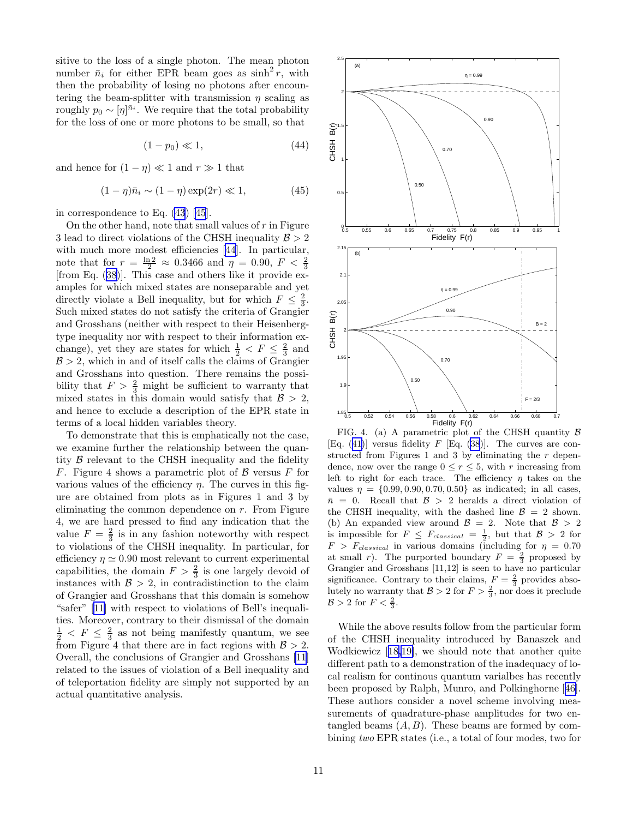sitive to the loss of a single photon. The mean photon number  $\bar{n}_i$  for either EPR beam goes as  $\sinh^2 r$ , with then the probability of losing no photons after encountering the beam-splitter with transmission  $\eta$  scaling as roughly  $p_0 \sim [\eta]^{\bar{n}_i}$ . We require that the total probability for the loss of one or more photons to be small, so that

$$
(1 - p_0) \ll 1,\tag{44}
$$

and hence for  $(1 - \eta) \ll 1$  and  $r \gg 1$  that

$$
(1 - \eta)\bar{n}_i \sim (1 - \eta)\exp(2r) \ll 1,
$$
\n(45)

in correspondence to Eq. [\(43](#page-9-0)) [\[45](#page-14-0)].

On the other hand, note that small values of  $r$  in Figure 3 lead to direct violations of the CHSH inequality  $\mathcal{B} > 2$ with much more modest efficiencies [\[44](#page-14-0)]. In particular, notethat for  $r = \frac{\ln 2}{2} \approx 0.3466$  and  $\eta = 0.90$ ,  $F < \frac{2}{3}$  [from Eq. ([38\)](#page-6-0)]. This case and others like it provide examples for which mixed states are nonseparable and yet directly violate a Bell inequality, but for which  $F \n\t\leq \frac{2}{3}$ . Such mixed states do not satisfy the criteria of Grangier and Grosshans (neither with respect to their Heisenbergtype inequality nor with respect to their information exchange), yet they are states for which  $\frac{1}{2} < F \leq \frac{2}{3}$  and  $B > 2$ , which in and of itself calls the claims of Grangier and Grosshans into question. There remains the possibility that  $F > \frac{2}{3}$  might be sufficient to warranty that mixed states in this domain would satisfy that  $\mathcal{B} > 2$ , and hence to exclude a description of the EPR state in terms of a local hidden variables theory.

To demonstrate that this is emphatically not the case, we examine further the relationship between the quantity  $\beta$  relevant to the CHSH inequality and the fidelity F. Figure 4 shows a parametric plot of  $\beta$  versus F for various values of the efficiency  $\eta$ . The curves in this figure are obtained from plots as in Figures 1 and 3 by eliminating the common dependence on  $r$ . From Figure 4, we are hard pressed to find any indication that the value  $F = \frac{2}{3}$  is in any fashion noteworthy with respect to violations of the CHSH inequality. In particular, for efficiency  $\eta \simeq 0.90$  most relevant to current experimental capabilities, the domain  $F > \frac{2}{3}$  is one largely devoid of instances with  $\mathcal{B} > 2$ , in contradistinction to the claim of Grangier and Grosshans that this domain is somehow "safer"[[11\]](#page-13-0) with respect to violations of Bell's inequalities. Moreover, contrary to their dismissal of the domain  $\frac{1}{2}$  <  $F \leq \frac{2}{3}$  as not being manifestly quantum, we see from Figure 4 that there are in fact regions with  $\mathcal{B} > 2$ . Overall, the conclusions of Grangier and Grosshans [\[11](#page-13-0)] related to the issues of violation of a Bell inequality and of teleportation fidelity are simply not supported by an actual quantitative analysis.

![](_page_10_Figure_7.jpeg)

FIG. 4. (a) A parametric plot of the CHSH quantity  $\beta$ [Eq.([41\)](#page-9-0)] versus fidelity  $F$  [Eq. [\(38](#page-6-0))]. The curves are constructed from Figures 1 and 3 by eliminating the r dependence, now over the range  $0 \leq r \leq 5$ , with r increasing from left to right for each trace. The efficiency  $\eta$  takes on the values  $\eta = \{0.99, 0.90, 0.70, 0.50\}$  as indicated; in all cases,  $\bar{n} = 0$ . Recall that  $\mathcal{B} > 2$  heralds a direct violation of the CHSH inequality, with the dashed line  $\mathcal{B} = 2$  shown. (b) An expanded view around  $\mathcal{B} = 2$ . Note that  $\mathcal{B} > 2$ is impossible for  $F \n\t\leq F_{classical} = \frac{1}{2}$ , but that  $\mathcal{B} > 2$  for  $F > F_{classical}$  in various domains (including for  $\eta = 0.70$ at small r). The purported boundary  $F = \frac{2}{3}$  proposed by Grangier and Grosshans [11,12] is seen to have no particular significance. Contrary to their claims,  $F = \frac{2}{3}$  provides absolutely no warranty that  $\mathcal{B} > 2$  for  $F > \frac{2}{3}$ , nor does it preclude  $\mathcal{B} > 2$  for  $F < \frac{2}{3}$ .

While the above results follow from the particular form of the CHSH inequality introduced by Banaszek and Wodkiewicz[[18,19\]](#page-13-0), we should note that another quite different path to a demonstration of the inadequacy of local realism for continous quantum varialbes has recently been proposed by Ralph, Munro, and Polkinghorne[[46\]](#page-14-0). These authors consider a novel scheme involving measurements of quadrature-phase amplitudes for two entangled beams  $(A, B)$ . These beams are formed by combining two EPR states (i.e., a total of four modes, two for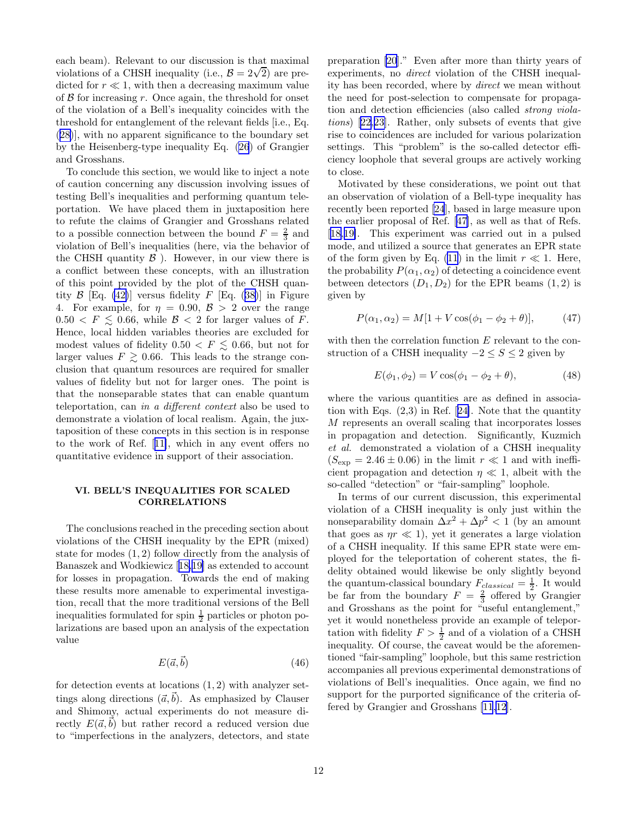each beam). Relevant to our discussion is that maximal violations of a CHSH inequality (i.e.,  $\mathcal{B} = 2\sqrt{2}$ ) are predicted for  $r \ll 1$ , with then a decreasing maximum value of  $\beta$  for increasing r. Once again, the threshold for onset of the violation of a Bell's inequality coincides with the threshold for entanglement of the relevant fields [i.e., Eq. ([28\)](#page-5-0)], with no apparent significance to the boundary set by the Heisenberg-type inequality Eq. [\(26](#page-4-0)) of Grangier and Grosshans.

To conclude this section, we would like to inject a note of caution concerning any discussion involving issues of testing Bell's inequalities and performing quantum teleportation. We have placed them in juxtaposition here to refute the claims of Grangier and Grosshans related to a possible connection between the bound  $F = \frac{2}{3}$  and violation of Bell's inequalities (here, via the behavior of the CHSH quantity  $\beta$ ). However, in our view there is a conflict between these concepts, with an illustration of this point provided by the plot of the CHSH quan-tity $\beta$  [Eq. [\(42\)](#page-9-0)] versus fidelity F [Eq. ([38\)](#page-6-0)] in Figure 4. For example, for  $\eta = 0.90, \mathcal{B} > 2$  over the range  $0.50 < F \leq 0.66$ , while  $\mathcal{B} < 2$  for larger values of F. Hence, local hidden variables theories are excluded for modest values of fidelity  $0.50 < F \leq 0.66$ , but not for larger values  $F \geq 0.66$ . This leads to the strange conclusion that quantum resources are required for smaller values of fidelity but not for larger ones. The point is that the nonseparable states that can enable quantum teleportation, can in a different context also be used to demonstrate a violation of local realism. Again, the juxtaposition of these concepts in this section is in response to the work of Ref.[[11\]](#page-13-0), which in any event offers no quantitative evidence in support of their association.

# VI. BELL'S INEQUALITIES FOR SCALED CORRELATIONS

The conclusions reached in the preceding section about violations of the CHSH inequality by the EPR (mixed) state for modes (1, 2) follow directly from the analysis of Banaszek and Wodkiewicz[[18,19\]](#page-13-0) as extended to account for losses in propagation. Towards the end of making these results more amenable to experimental investigation, recall that the more traditional versions of the Bell inequalities formulated for spin  $\frac{1}{2}$  particles or photon polarizations are based upon an analysis of the expectation value

$$
E(\vec{a}, \vec{b}) \tag{46}
$$

for detection events at locations  $(1, 2)$  with analyzer settings along directions  $(\vec{a}, \vec{b})$ . As emphasized by Clauser and Shimony, actual experiments do not measure directly  $E(\vec{a}, \vec{b})$  but rather record a reduced version due to "imperfections in the analyzers, detectors, and state

preparation [\[20](#page-13-0)]." Even after more than thirty years of experiments, no direct violation of the CHSH inequality has been recorded, where by direct we mean without the need for post-selection to compensate for propagation and detection efficiencies (also called strong violations)[[22](#page-13-0),[23\]](#page-13-0). Rather, only subsets of events that give rise to coincidences are included for various polarization settings. This "problem" is the so-called detector efficiency loophole that several groups are actively working to close.

Motivated by these considerations, we point out that an observation of violation of a Bell-type inequality has recently been reported [\[24](#page-13-0)], based in large measure upon the earlier proposal of Ref.[[47\]](#page-14-0), as well as that of Refs. [[18,19\]](#page-13-0). This experiment was carried out in a pulsed mode, and utilized a source that generates an EPR state of the form given by Eq. [\(11](#page-3-0)) in the limit  $r \ll 1$ . Here, the probability  $P(\alpha_1, \alpha_2)$  of detecting a coincidence event between detectors  $(D_1, D_2)$  for the EPR beams  $(1, 2)$  is given by

$$
P(\alpha_1, \alpha_2) = M[1 + V \cos(\phi_1 - \phi_2 + \theta)], \tag{47}
$$

with then the correlation function E relevant to the construction of a CHSH inequality  $-2 \leq S \leq 2$  given by

$$
E(\phi_1, \phi_2) = V \cos(\phi_1 - \phi_2 + \theta), \tag{48}
$$

where the various quantities are as defined in association with Eqs. (2,3) in Ref.[[24\]](#page-13-0). Note that the quantity M represents an overall scaling that incorporates losses in propagation and detection. Significantly, Kuzmich et al. demonstrated a violation of a CHSH inequality  $(S_{\exp} = 2.46 \pm 0.06)$  in the limit  $r \ll 1$  and with inefficient propagation and detection  $\eta \ll 1$ , albeit with the so-called "detection" or "fair-sampling" loophole.

In terms of our current discussion, this experimental violation of a CHSH inequality is only just within the nonseparability domain  $\Delta x^2 + \Delta p^2 < 1$  (by an amount that goes as  $\eta r \ll 1$ , yet it generates a large violation of a CHSH inequality. If this same EPR state were employed for the teleportation of coherent states, the fidelity obtained would likewise be only slightly beyond the quantum-classical boundary  $F_{classical} = \frac{1}{2}$ . It would be far from the boundary  $F = \frac{2}{3}$  offered by Grangier and Grosshans as the point for "useful entanglement," yet it would nonetheless provide an example of teleportation with fidelity  $F > \frac{1}{2}$  and of a violation of a CHSH inequality. Of course, the caveat would be the aforementioned "fair-sampling" loophole, but this same restriction accompanies all previous experimental demonstrations of violations of Bell's inequalities. Once again, we find no support for the purported significance of the criteria offered by Grangier and Grosshans [\[11](#page-13-0),[12](#page-13-0)].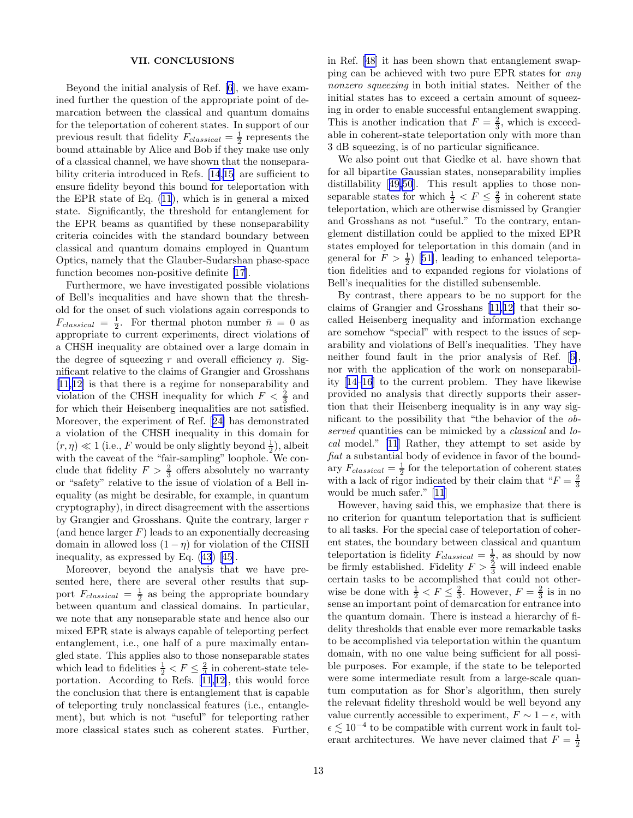## VII. CONCLUSIONS

Beyond the initial analysis of Ref. [\[6](#page-13-0)], we have examined further the question of the appropriate point of demarcation between the classical and quantum domains for the teleportation of coherent states. In support of our previous result that fidelity  $F_{classical} = \frac{1}{2}$  represents the bound attainable by Alice and Bob if they make use only of a classical channel, we have shown that the nonseparability criteria introduced in Refs. [\[14](#page-13-0),[15](#page-13-0)] are sufficient to ensure fidelity beyond this bound for teleportation with the EPR state of Eq. [\(11](#page-3-0)), which is in general a mixed state. Significantly, the threshold for entanglement for the EPR beams as quantified by these nonseparability criteria coincides with the standard boundary between classical and quantum domains employed in Quantum Optics, namely that the Glauber-Sudarshan phase-space function becomes non-positive definite [\[17](#page-13-0)].

Furthermore, we have investigated possible violations of Bell's inequalities and have shown that the threshold for the onset of such violations again corresponds to  $F_{classical} = \frac{1}{2}$ . For thermal photon number  $\bar{n} = 0$  as appropriate to current experiments, direct violations of a CHSH inequality are obtained over a large domain in the degree of squeezing r and overall efficiency  $\eta$ . Significant relative to the claims of Grangier and Grosshans [[11,12\]](#page-13-0) is that there is a regime for nonseparability and violation of the CHSH inequality for which  $F < \frac{2}{3}$  and for which their Heisenberg inequalities are not satisfied. Moreover, the experiment of Ref.[[24\]](#page-13-0) has demonstrated a violation of the CHSH inequality in this domain for  $(r, \eta) \ll 1$  (i.e., F would be only slightly beyond  $\frac{1}{2}$ ), albeit with the caveat of the "fair-sampling" loophole. We conclude that fidelity  $F > \frac{2}{3}$  offers absolutely no warranty or "safety" relative to the issue of violation of a Bell inequality (as might be desirable, for example, in quantum cryptography), in direct disagreement with the assertions by Grangier and Grosshans. Quite the contrary, larger r (and hence larger  $F$ ) leads to an exponentially decreasing domain in allowed loss  $(1 - \eta)$  for violation of the CHSH inequality, as expressed by Eq.([43\)](#page-9-0)[[45\]](#page-14-0).

Moreover, beyond the analysis that we have presented here, there are several other results that support  $F_{classical} = \frac{1}{2}$  as being the appropriate boundary between quantum and classical domains. In particular, we note that any nonseparable state and hence also our mixed EPR state is always capable of teleporting perfect entanglement, i.e., one half of a pure maximally entangled state. This applies also to those nonseparable states which lead to fidelities  $\frac{1}{2} < F \leq \frac{2}{3}$  in coherent-state tele-portation.According to Refs.  $[11,12]$  $[11,12]$  $[11,12]$  $[11,12]$ , this would force the conclusion that there is entanglement that is capable of teleporting truly nonclassical features (i.e., entanglement), but which is not "useful" for teleporting rather more classical states such as coherent states. Further, in Ref. [\[48](#page-14-0)] it has been shown that entanglement swapping can be achieved with two pure EPR states for any nonzero squeezing in both initial states. Neither of the initial states has to exceed a certain amount of squeezing in order to enable successful entanglement swapping. This is another indication that  $F = \frac{2}{3}$ , which is exceedable in coherent-state teleportation only with more than 3 dB squeezing, is of no particular significance.

We also point out that Giedke et al. have shown that for all bipartite Gaussian states, nonseparability implies distillability[[49,50](#page-14-0)]. This result applies to those nonseparable states for which  $\frac{1}{2} < F \leq \frac{2}{3}$  in coherent state teleportation, which are otherwise dismissed by Grangier and Grosshans as not "useful." To the contrary, entanglement distillation could be applied to the mixed EPR states employed for teleportation in this domain (and in generalfor  $F > \frac{1}{2}$  [[51](#page-14-0)], leading to enhanced teleportation fidelities and to expanded regions for violations of Bell's inequalities for the distilled subensemble.

By contrast, there appears to be no support for the claims of Grangier and Grosshans[[11,12\]](#page-13-0) that their socalled Heisenberg inequality and information exchange are somehow "special" with respect to the issues of separability and violations of Bell's inequalities. They have neither found fault in the prior analysis of Ref.[[6\]](#page-13-0), nor with the application of the work on nonseparability[[14–16](#page-13-0)] to the current problem. They have likewise provided no analysis that directly supports their assertion that their Heisenberg inequality is in any way significant to the possibility that "the behavior of the observed quantities can be mimicked by a *classical* and *lo*cal model." [\[11](#page-13-0)] Rather, they attempt to set aside by fiat a substantial body of evidence in favor of the boundary  $F_{classical} = \frac{1}{2}$  for the teleportation of coherent states with a lack of rigor indicated by their claim that " $F = \frac{2}{3}$ would be much safer." [\[11](#page-13-0)]

However, having said this, we emphasize that there is no criterion for quantum teleportation that is sufficient to all tasks. For the special case of teleportation of coherent states, the boundary between classical and quantum teleportation is fidelity  $F_{classical} = \frac{1}{2}$ , as should by now be firmly established. Fidelity  $F > \frac{2}{3}$  will indeed enable certain tasks to be accomplished that could not otherwise be done with  $\frac{1}{2} < F \leq \frac{2}{3}$ . However,  $F = \frac{2}{3}$  is in no sense an important point of demarcation for entrance into the quantum domain. There is instead a hierarchy of fidelity thresholds that enable ever more remarkable tasks to be accomplished via teleportation within the quantum domain, with no one value being sufficient for all possible purposes. For example, if the state to be teleported were some intermediate result from a large-scale quantum computation as for Shor's algorithm, then surely the relevant fidelity threshold would be well beyond any value currently accessible to experiment,  $F \sim 1 - \epsilon$ , with  $\epsilon \lesssim 10^{-4}$  to be compatible with current work in fault tolerant architectures. We have never claimed that  $F = \frac{1}{2}$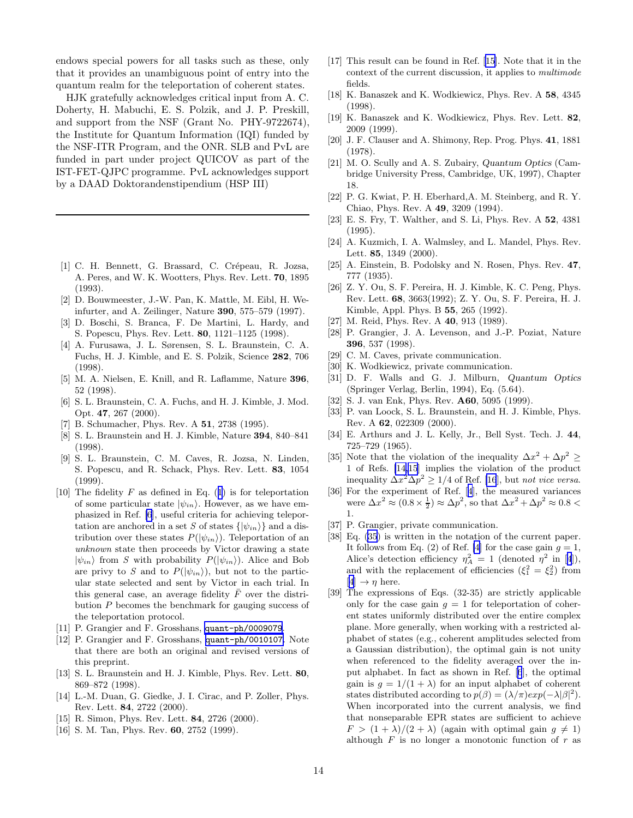<span id="page-13-0"></span>endows special powers for all tasks such as these, only that it provides an unambiguous point of entry into the quantum realm for the teleportation of coherent states.

HJK gratefully acknowledges critical input from A. C. Doherty, H. Mabuchi, E. S. Polzik, and J. P. Preskill, and support from the NSF (Grant No. PHY-9722674), the Institute for Quantum Information (IQI) funded by the NSF-ITR Program, and the ONR. SLB and PvL are funded in part under project QUICOV as part of the IST-FET-QJPC programme. PvL acknowledges support by a DAAD Doktorandenstipendium (HSP III)

- [1] C. H. Bennett, G. Brassard, C. Crépeau, R. Jozsa, A. Peres, and W. K. Wootters, Phys. Rev. Lett. 70, 1895 (1993).
- [2] D. Bouwmeester, J.-W. Pan, K. Mattle, M. Eibl, H. Weinfurter, and A. Zeilinger, Nature 390, 575–579 (1997).
- [3] D. Boschi, S. Branca, F. De Martini, L. Hardy, and S. Popescu, Phys. Rev. Lett. 80, 1121–1125 (1998).
- [4] A. Furusawa, J. L. Sørensen, S. L. Braunstein, C. A. Fuchs, H. J. Kimble, and E. S. Polzik, Science 282, 706 (1998).
- [5] M. A. Nielsen, E. Knill, and R. Laflamme, Nature 396, 52 (1998).
- [6] S. L. Braunstein, C. A. Fuchs, and H. J. Kimble, J. Mod. Opt. 47, 267 (2000).
- [7] B. Schumacher, Phys. Rev. A 51, 2738 (1995).
- [8] S. L. Braunstein and H. J. Kimble, Nature 394, 840–841 (1998).
- [9] S. L. Braunstein, C. M. Caves, R. Jozsa, N. Linden, S. Popescu, and R. Schack, Phys. Rev. Lett. 83, 1054 (1999).
- [10]The fidelity  $F$  as defined in Eq. ([1](#page-0-0)) is for teleportation of some particular state  $|\psi_{in}\rangle$ . However, as we have emphasized in Ref. [6], useful criteria for achieving teleportation are anchored in a set S of states  $\{|\psi_{in}\rangle\}$  and a distribution over these states  $P(|\psi_{in}\rangle)$ . Teleportation of an unknown state then proceeds by Victor drawing a state  $|\psi_{in}\rangle$  from S with probability  $P(|\psi_{in}\rangle)$ . Alice and Bob are privy to S and to  $P(|\psi_{in}\rangle)$ , but not to the particular state selected and sent by Victor in each trial. In this general case, an average fidelity  $\bar{F}$  over the distribution P becomes the benchmark for gauging success of the teleportation protocol.
- [11] P. Grangier and F. Grosshans, [quant-ph/0009079](http://arxiv.org/abs/quant-ph/0009079).
- [12] P. Grangier and F. Grosshans, [quant-ph/0010107](http://arxiv.org/abs/quant-ph/0010107). Note that there are both an original and revised versions of this preprint.
- [13] S. L. Braunstein and H. J. Kimble, Phys. Rev. Lett. 80, 869–872 (1998).
- [14] L.-M. Duan, G. Giedke, J. I. Cirac, and P. Zoller, Phys. Rev. Lett. 84, 2722 (2000).
- [15] R. Simon, Phys. Rev. Lett. **84**, 2726 (2000).
- [16] S. M. Tan, Phys. Rev. **60**, 2752 (1999).
- [17] This result can be found in Ref. [15]. Note that it in the context of the current discussion, it applies to multimode fields.
- [18] K. Banaszek and K. Wodkiewicz, Phys. Rev. A 58, 4345 (1998).
- [19] K. Banaszek and K. Wodkiewicz, Phys. Rev. Lett. 82, 2009 (1999).
- [20] J. F. Clauser and A. Shimony, Rep. Prog. Phys. 41, 1881 (1978).
- [21] M. O. Scully and A. S. Zubairy, Quantum Optics (Cambridge University Press, Cambridge, UK, 1997), Chapter 18.
- [22] P. G. Kwiat, P. H. Eberhard,A. M. Steinberg, and R. Y. Chiao, Phys. Rev. A 49, 3209 (1994).
- [23] E. S. Fry, T. Walther, and S. Li, Phys. Rev. A 52, 4381 (1995).
- [24] A. Kuzmich, I. A. Walmsley, and L. Mandel, Phys. Rev. Lett. 85, 1349 (2000).
- [25] A. Einstein, B. Podolsky and N. Rosen, Phys. Rev. 47, 777 (1935).
- [26] Z. Y. Ou, S. F. Pereira, H. J. Kimble, K. C. Peng, Phys. Rev. Lett. 68, 3663(1992); Z. Y. Ou, S. F. Pereira, H. J. Kimble, Appl. Phys. B 55, 265 (1992).
- [27] M. Reid, Phys. Rev. A 40, 913 (1989).
- [28] P. Grangier, J. A. Levenson, and J.-P. Poziat, Nature 396, 537 (1998).
- [29] C. M. Caves, private communication.
- [30] K. Wodkiewicz, private communication.
- [31] D. F. Walls and G. J. Milburn, Quantum Optics (Springer Verlag, Berlin, 1994), Eq. (5.64).
- [32] S. J. van Enk, Phys. Rev. **A60**, 5095 (1999).
- [33] P. van Loock, S. L. Braunstein, and H. J. Kimble, Phys. Rev. A 62, 022309 (2000).
- [34] E. Arthurs and J. L. Kelly, Jr., Bell Syst. Tech. J. 44, 725–729 (1965).
- [35] Note that the violation of the inequality  $\Delta x^2 + \Delta p^2 \geq$ 1 of Refs. [14,15] implies the violation of the product inequality  $\Delta x^2 \Delta p^2 \ge 1/4$  of Ref. [16], but not vice versa.
- [36] For the experiment of Ref. [4], the measured variances were  $\Delta x^2 \approx (0.8 \times \frac{1}{2}) \approx \Delta p^2$ , so that  $\Delta x^2 + \Delta p^2 \approx 0.8$  < 1.
- [37] P. Grangier, private communication.
- [38] Eq.([35](#page-6-0)) is written in the notation of the current paper. It follows from Eq. (2) of Ref. [4] for the case gain  $q = 1$ , Alice's detection efficiency  $\eta_A^2 = 1$  (denoted  $\eta^2$  in [4]), and with the replacement of efficiencies  $(\xi_1^2 = \xi_2^2)$  from  $[4] \rightarrow \eta$  here.
- [39] The expressions of Eqs. (32-35) are strictly applicable only for the case gain  $q = 1$  for teleportation of coherent states uniformly distributed over the entire complex plane. More generally, when working with a restricted alphabet of states (e.g., coherent amplitudes selected from a Gaussian distribution), the optimal gain is not unity when referenced to the fidelity averaged over the input alphabet. In fact as shown in Ref. [6], the optimal gain is  $q = 1/(1 + \lambda)$  for an input alphabet of coherent states distributed according to  $p(\beta) = (\lambda/\pi) exp(-\lambda|\beta|^2)$ . When incorporated into the current analysis, we find that nonseparable EPR states are sufficient to achieve  $F > (1 + \lambda)/(2 + \lambda)$  (again with optimal gain  $q \neq 1$ ) although  $F$  is no longer a monotonic function of  $r$  as